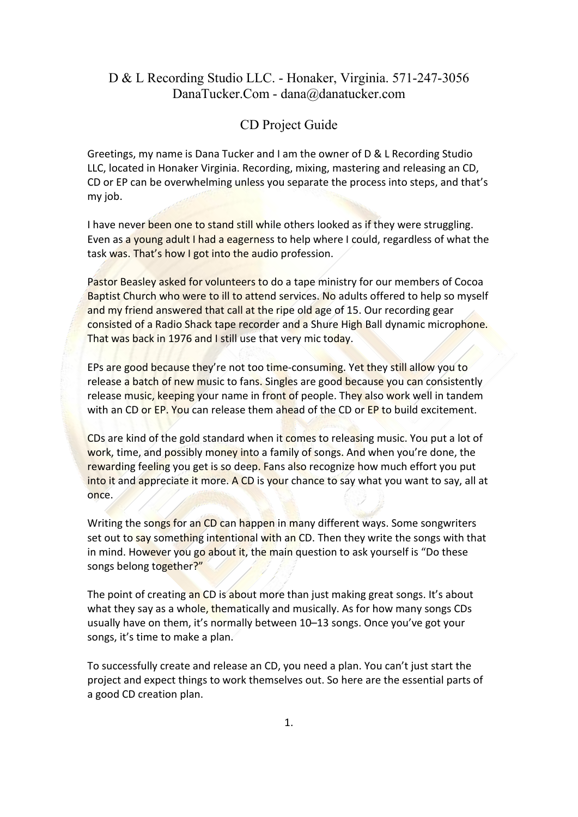# D & L Recording Studio LLC. - Honaker, Virginia. 571-247-3056 DanaTucker.Com - dana@danatucker.com

# CD Project Guide

Greetings, my name is Dana Tucker and I am the owner of D & L Recording Studio LLC, located in Honaker Virginia. Recording, mixing, mastering and releasing an CD, CD or EP can be overwhelming unless you separate the process into steps, and that's my job.

I have never been one to stand still while others looked as if they were struggling. Even as a young adult I had a eagerness to help where I could, regardless of what the task was. That's how I got into the audio profession.

Pastor Beasley asked for volunteers to do a tape ministry for our members of Cocoa Baptist Church who were to ill to attend services. No adults offered to help so myself and my friend answered that call at the ripe old age of 15. Our recording gear consisted of a Radio Shack tape recorder and a Shure High Ball dynamic microphone. That was back in 1976 and I still use that very mic today.

EPs are good because they're not too time-consuming. Yet they still allow you to release a batch of new music to fans. Singles are good because you can consistently release music, keeping your name in front of people. They also work well in tandem with an CD or EP. You can release them ahead of the CD or EP to build excitement.

CDs are kind of the gold standard when it comes to releasing music. You put a lotof work, time, and possibly money into a family of songs. And when you're done, the rewarding feeling you get is so deep. Fans also recognize how much effort you put into it and appreciate it more. A CD is your chance to say what you want to say, all at once.

Writing the songs for an CD can happen in many different ways. Some songwriters set out to say something intentional with an CD. Then they write the songs with that in mind. However you go about it, the main question to ask yourself is "Do these songs belong together?"

The point of creating an CD is about more than just making great songs. It's about what they say as a whole, thematically and musically. As for how many songs CDs usually have on them, it's normally between 10–13 songs. Once you've got your songs, it's time to make a plan.

To successfully create and release an CD, you need a plan.You can't just start the project and expect things to work themselves out. So here are the essential parts of a good CD creation plan.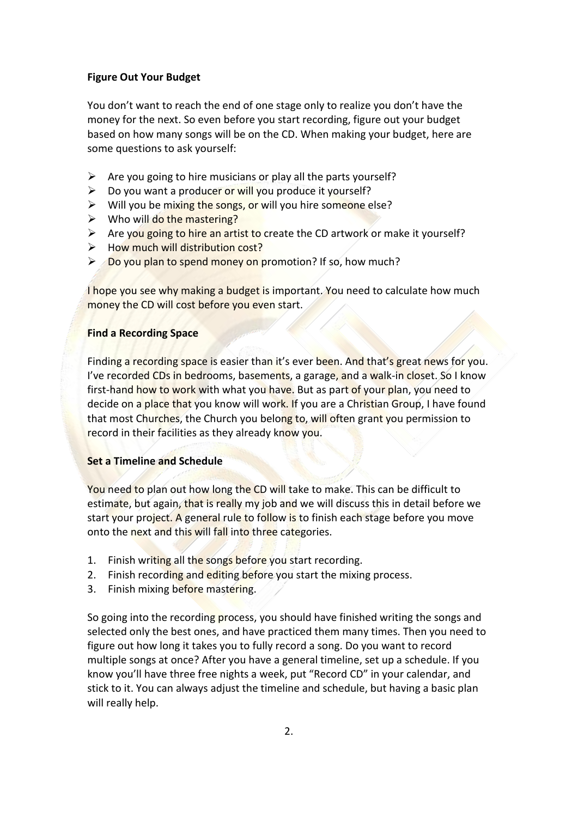## **Figure Out Your Budget**

You don't want to reach the end of one stage only to realize you don't have the money for the next. So even before you start recording, figure out your budget based on how many songs will be on the CD. When making your budget, here are some questions to ask yourself:

- $\triangleright$  Are you going to hire musicians or play all the parts yourself?
- $\triangleright$  Do you want a producer or will you produce it yourself?
- $\triangleright$  Will you be mixing the songs, or will you hire someone else?
- $\triangleright$  Who will do the mastering?
- $\triangleright$  Are you going to hire an artist to create the CD artwork or make it yourself?
- $\triangleright$  How much will distribution cost?
- $\triangleright$  Do you plan to spend money on promotion? If so, how much?

I hope you see why making a budget is important. You need to calculate how much money the CD will cost before you even start.

#### **Find a Recording Space**

Finding a recording space is easier than it's ever been. And that's great news for you. I've recorded CDs in bedrooms, basements, a garage, and a walk-in closet. So I know first-hand how to work with what you have. But as part of your plan, you need to decide on a place that you know will work. If you are a Christian Group, I have found that most Churches, the Church you belong to, will often grant you permission to record in their facilities as they already know you.

#### **Set a Timeline and Schedule**

You need to plan out how long the CD willtake to make. This can be difficult to estimate, but again, that is really my job and we will discuss this in detail before we start your project. A general rule to follow is to finish each stage before you move onto the next and this will fall into three categories.<br>1. Finish writing all the songs before you start recording.

- 
- 2. Finish recording and editing before you start the mixing process.
- 3. Finish mixing before mastering.

So going into the recording process, you should have finished writing the songs and selected only the best ones, and have practiced them many times. Then you need to figure out how long it takes you to fully record a song. Do you want to record multiple songs at once? After you have a general timeline, set up a schedule. If you know you'll have three free nights a week, put "Record CD" in your calendar, and stick to it. You can always adjust the timeline and schedule, but having a basic plan will really help.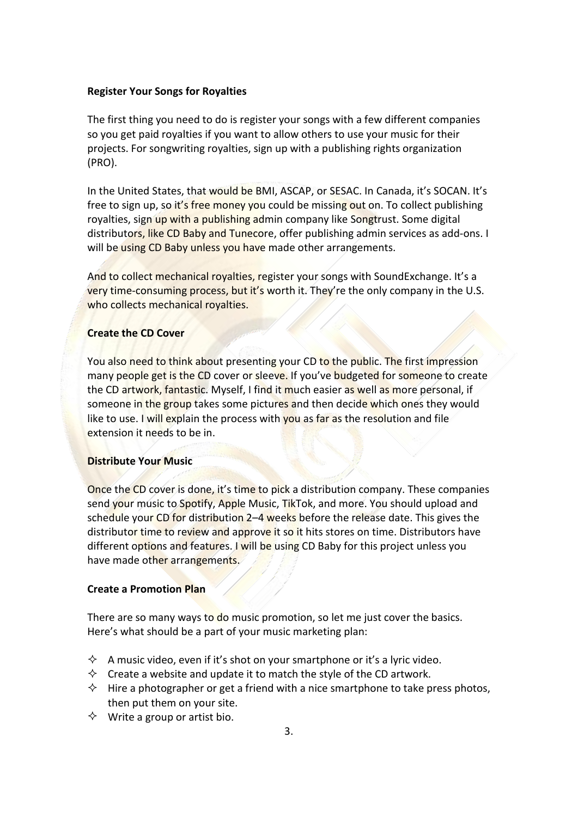### **Register Your Songs for Royalties**

The first thing you need to do is register your songs with a few different companies so you get paid royalties if you want to allow others to use your music for their projects. For songwriting royalties, sign up with a publishing rights organization (PRO).

In the United States, that would be BMI, ASCAP, or SESAC. In Canada, it's SOCAN. It's free to sign up, so it's free money you could be missing out on. To collect publishing royalties, sign up with a publishing admin company like Songtrust. Some digital distributors, like CD Baby and Tunecore, offer publishing admin services as add-ons. I will be using CD Baby unless you have made other arrangements.

And to collect mechanical royalties, register your songs with SoundExchange. It's a very time-consuming process, but it's worth it. They're the only company in the U.S. who collects mechanical royalties.

#### **Create the CD Cover**

You also need to think about presenting your CD to the public. The first impression many people get is the CD cover or sleeve. If you've budgeted for someone to create the CD artwork, fantastic. Myself, I find it much easier as well as more personal, if someone in the group takes some pictures and then decide which ones they would like to use. I will explain the process with you as far as the resolution and file extension it needs to be in.

### **Distribute Your Music**

Once the CD cover is done, it's time to pick a distribution company. These companies send your music to Spotify, Apple Music, TikTok, and more. You should upload and schedule your CD for distribution 2–4 weeks before the release date. This gives the distributor time to review and approve it so it hits stores on time. Distributors have different options and features. I will be using CD Baby for this project unless you have made other arrangements.

# **Create a Promotion Plan**

There are so many ways to do music promotion, so let me just cover the basics. Here's what should be a part of your music marketing plan:

- $\Diamond$  A music video, even if it's shot on your smartphone or it's a lyric video.
- $\Diamond$  Create a website and update it to match the style of the CD artwork.
- $\Diamond$  Hire a photographer or get a friend with a nice smartphone to take press photos, then put them on your site.
- $\Diamond$  Write a group or artist bio.